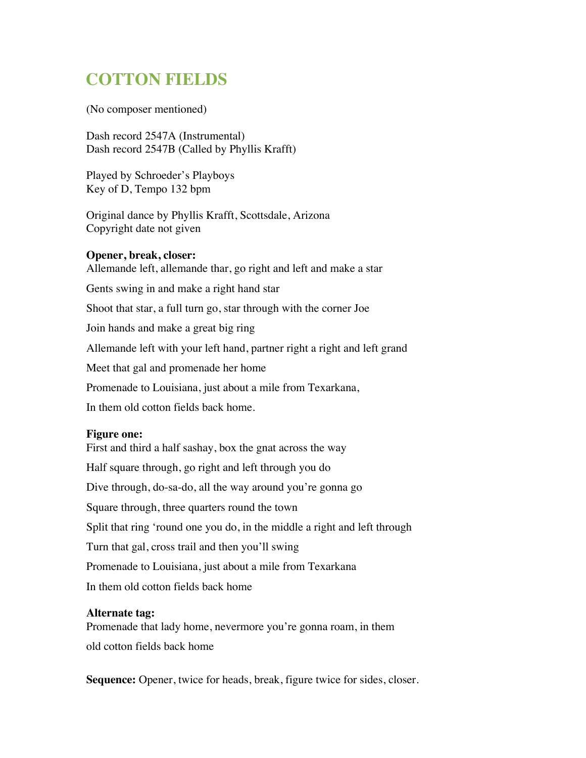# **COTTON FIELDS**

(No composer mentioned)

Dash record 2547A (Instrumental) Dash record 2547B (Called by Phyllis Krafft)

Played by Schroeder's Playboys Key of D, Tempo 132 bpm

Original dance by Phyllis Krafft, Scottsdale, Arizona Copyright date not given

## **Opener, break, closer:**

Allemande left, allemande thar, go right and left and make a star Gents swing in and make a right hand star Shoot that star, a full turn go, star through with the corner Joe Join hands and make a great big ring Allemande left with your left hand, partner right a right and left grand Meet that gal and promenade her home Promenade to Louisiana, just about a mile from Texarkana, In them old cotton fields back home.

## **Figure one:**

First and third a half sashay, box the gnat across the way Half square through, go right and left through you do Dive through, do-sa-do, all the way around you're gonna go Square through, three quarters round the town Split that ring 'round one you do, in the middle a right and left through Turn that gal, cross trail and then you'll swing Promenade to Louisiana, just about a mile from Texarkana In them old cotton fields back home

## **Alternate tag:**

Promenade that lady home, nevermore you're gonna roam, in them old cotton fields back home

**Sequence:** Opener, twice for heads, break, figure twice for sides, closer.